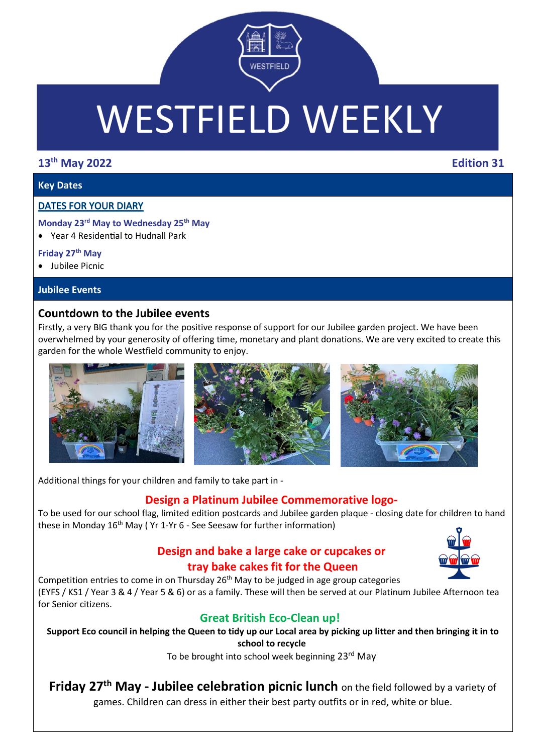

# WESTFIELD WEEKLY

# **13th May 2022 Edition 31**

# **Key Dates**

# **DATES FOR YOUR DIARY**

### **Monday 23rd May to Wednesday 25th May**

Year 4 Residential to Hudnall Park

### **Friday 27th May**

Jubilee Picnic

## **Jubilee Events**

# **Countdown to the Jubilee events**

Firstly, a very BIG thank you for the positive response of support for our Jubilee garden project. We have been overwhelmed by your generosity of offering time, monetary and plant donations. We are very excited to create this garden for the whole Westfield community to enjoy.



Additional things for your children and family to take part in -

# **Design a Platinum Jubilee Commemorative logo-**

To be used for our school flag, limited edition postcards and Jubilee garden plaque - closing date for children to hand these in Monday 16<sup>th</sup> May ( Yr 1-Yr 6 - See Seesaw for further information)

# **Design and bake a large cake or cupcakes or tray bake cakes fit for the Queen**



Competition entries to come in on Thursday  $26<sup>th</sup>$  May to be judged in age group categories (EYFS / KS1 / Year 3 & 4 / Year 5 & 6) or as a family. These will then be served at our Platinum Jubilee Afternoon tea for Senior citizens.

# **Great British Eco-Clean up!**

Support Eco council in helping the Queen to tidy up our Local area by picking up litter and then bringing it in to **school to recycle**

To be brought into school week beginning 23rd May

**Friday 27th May - Jubilee celebration picnic lunch** on the field followed by a variety of games. Children can dress in either their best party outfits or in red, white or blue.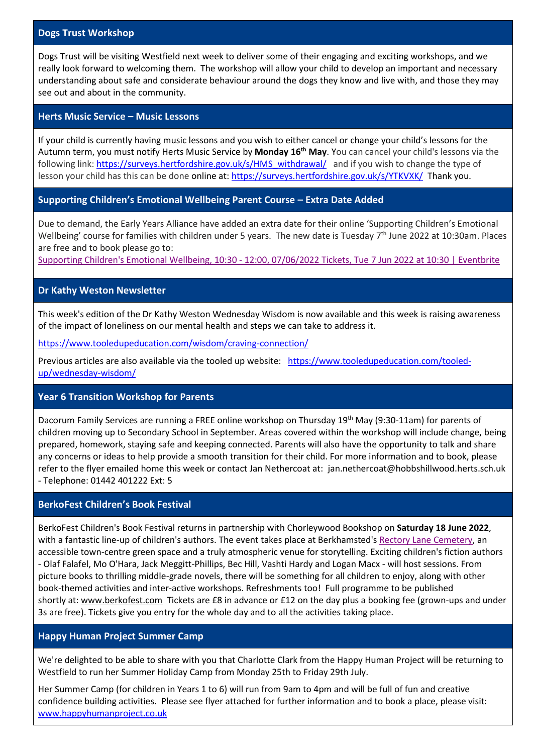#### **Dogs Trust Workshop**

Dogs Trust will be visiting Westfield next week to deliver some of their engaging and exciting workshops, and we really look forward to welcoming them. The workshop will allow your child to develop an important and necessary understanding about safe and considerate behaviour around the dogs they know and live with, and those they may see out and about in the community.

#### **Herts Music Service – Music Lessons**

If your child is currently having music lessons and you wish to either cancel or change your child's lessons for the Autumn term, you must notify Herts Music Service by **Monday 16th May**. You can cancel your child's lessons via the following link[: https://surveys.hertfordshire.gov.uk/s/HMS\\_withdrawal/](https://surveys.hertfordshire.gov.uk/s/HMS_withdrawal/) and if you wish to change the type of lesson your child has this can be done online at: <https://surveys.hertfordshire.gov.uk/s/YTKVXK/>Thank you.

#### **Supporting Children's Emotional Wellbeing Parent Course – Extra Date Added**

Due to demand, the Early Years Alliance have added an extra date for their online 'Supporting Children's Emotional Wellbeing' course for families with children under 5 years. The new date is Tuesday 7<sup>th</sup> June 2022 at 10:30am. Places are free and to book please go to:

Supporting Children's Emotional Wellbeing, 10:30 - 12:00, [07/06/2022](https://www.eventbrite.co.uk/e/supporting-childrens-emotional-wellbeing-1030-1200-07062022-tickets-337975723487?aff=ebdsoporgprofile) Tickets, Tue 7 Jun 2022 at 10:30 | Eventbrite

#### **Dr Kathy Weston Newsletter**

This week's edition of the Dr Kathy Weston Wednesday Wisdom is now available and this week is raising awareness of the impact of loneliness on our mental health and steps we can take to address it.

<https://www.tooledupeducation.com/wisdom/craving-connection/>

Previous articles are also available via the tooled up website: [https://www.tooledupeducation.com/tooled](https://www.tooledupeducation.com/tooled-up/wednesday-wisdom/)[up/wednesday-wisdom/](https://www.tooledupeducation.com/tooled-up/wednesday-wisdom/)

#### **Year 6 Transition Workshop for Parents**

Dacorum Family Services are running a FREE online workshop on Thursday 19th May (9:30-11am) for parents of children moving up to Secondary School in September. Areas covered within the workshop will include change, being prepared, homework, staying safe and keeping connected. Parents will also have the opportunity to talk and share any concerns or ideas to help provide a smooth transition for their child. For more information and to book, please refer to the flyer emailed home this week or contact Jan Nethercoat at: jan.nethercoat@hobbshillwood.herts.sch.uk - Telephone: 01442 401222 Ext: 5

#### **BerkoFest Children's Book Festival**

BerkoFest Children's Book Festival returns in partnership with Chorleywood Bookshop on **Saturday 18 June 2022**, with a fantastic line-up of children's authors. The event takes place at Berkhamsted's Rectory Lane [Cemetery,](https://www.rectorylanecemetery.org.uk/visit/plan/map/) an accessible town-centre green space and a truly atmospheric venue for storytelling. Exciting children's fiction authors - Olaf Falafel, Mo O'Hara, Jack Meggitt-Phillips, Bec Hill, Vashti Hardy and Logan Macx - will host sessions. From picture books to thrilling middle-grade novels, there will be something for all children to enjoy, along with other book-themed activities and inter-active workshops. Refreshments too! Full programme to be published shortly at: [www.berkofest.com](http://www.berkofest.com/) Tickets are £8 in advance or £12 on the day plus a booking fee (grown-ups and under 3s are free). Tickets give you entry for the whole day and to all the activities taking place.

#### **Happy Human Project Summer Camp**

We're delighted to be able to share with you that Charlotte Clark from the Happy Human Project will be returning to Westfield to run her Summer Holiday Camp from Monday 25th to Friday 29th July.

Her Summer Camp (for children in Years 1 to 6) will run from 9am to 4pm and will be full of fun and creative confidence building activities. Please see flyer attached for further information and to book a place, please visit: [www.happyhumanproject.co.uk](http://www.happyhumanproject.co.uk/)